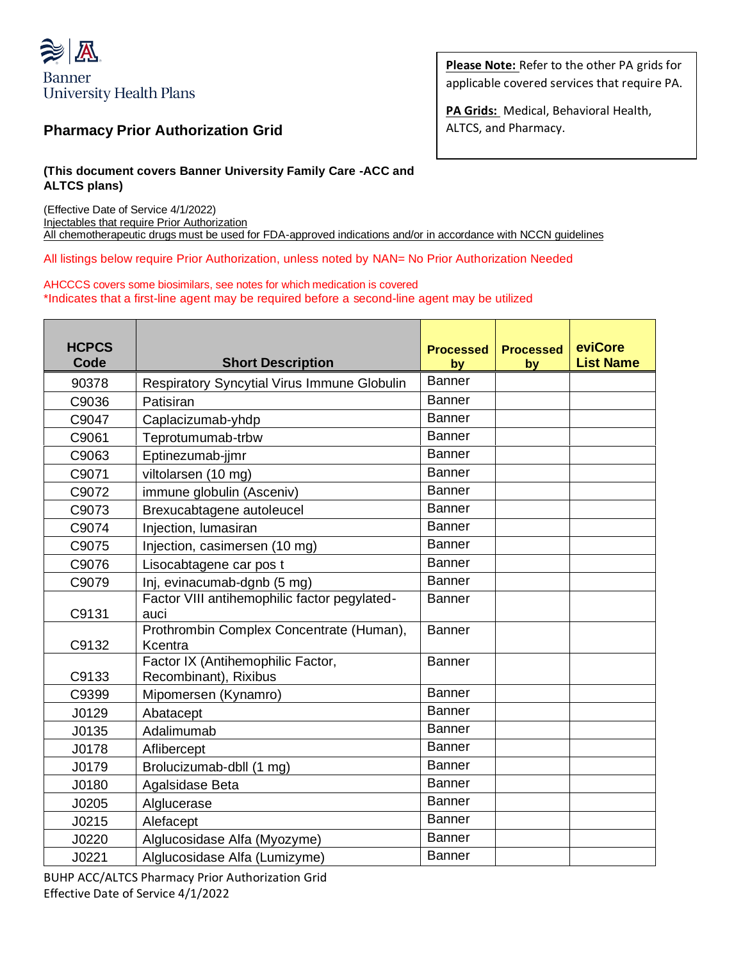

## **Pharmacy Prior Authorization Grid**

**Please Note:** Refer to the other PA grids for applicable covered services that require PA.

**PA Grids:** Medical, Behavioral Health, ALTCS, and Pharmacy.

## **(This document covers Banner University Family Care -ACC and ALTCS plans)**

(Effective Date of Service 4/1/2022) Injectables that require Prior Authorization All chemotherapeutic drugs must be used for FDA-approved indications and/or in accordance with NCCN guidelines

All listings below require Prior Authorization, unless noted by NAN= No Prior Authorization Needed

## AHCCCS covers some biosimilars, see notes for which medication is covered \*Indicates that a first-line agent may be required before a second-line agent may be utilized

| <b>HCPCS</b><br>Code | <b>Short Description</b>                                   | <b>Processed</b><br>by | <b>Processed</b><br>by | eviCore<br><b>List Name</b> |
|----------------------|------------------------------------------------------------|------------------------|------------------------|-----------------------------|
| 90378                | <b>Respiratory Syncytial Virus Immune Globulin</b>         | <b>Banner</b>          |                        |                             |
| C9036                | Patisiran                                                  | <b>Banner</b>          |                        |                             |
| C9047                | Caplacizumab-yhdp                                          | <b>Banner</b>          |                        |                             |
| C9061                | Teprotumumab-trbw                                          | <b>Banner</b>          |                        |                             |
| C9063                | Eptinezumab-jjmr                                           | <b>Banner</b>          |                        |                             |
| C9071                | viltolarsen (10 mg)                                        | Banner                 |                        |                             |
| C9072                | immune globulin (Asceniv)                                  | <b>Banner</b>          |                        |                             |
| C9073                | Brexucabtagene autoleucel                                  | <b>Banner</b>          |                        |                             |
| C9074                | Injection, lumasiran                                       | <b>Banner</b>          |                        |                             |
| C9075                | Injection, casimersen (10 mg)                              | Banner                 |                        |                             |
| C9076                | Lisocabtagene car pos t                                    | <b>Banner</b>          |                        |                             |
| C9079                | Inj, evinacumab-dgnb (5 mg)                                | <b>Banner</b>          |                        |                             |
| C9131                | Factor VIII antihemophilic factor pegylated-<br>auci       | Banner                 |                        |                             |
| C9132                | Prothrombin Complex Concentrate (Human),<br>Kcentra        | <b>Banner</b>          |                        |                             |
| C9133                | Factor IX (Antihemophilic Factor,<br>Recombinant), Rixibus | <b>Banner</b>          |                        |                             |
| C9399                | Mipomersen (Kynamro)                                       | Banner                 |                        |                             |
| J0129                | Abatacept                                                  | <b>Banner</b>          |                        |                             |
| J0135                | Adalimumab                                                 | <b>Banner</b>          |                        |                             |
| J0178                | Aflibercept                                                | <b>Banner</b>          |                        |                             |
| J0179                | Brolucizumab-dbll (1 mg)                                   | <b>Banner</b>          |                        |                             |
| J0180                | Agalsidase Beta                                            | <b>Banner</b>          |                        |                             |
| J0205                | Alglucerase                                                | <b>Banner</b>          |                        |                             |
| J0215                | Alefacept                                                  | <b>Banner</b>          |                        |                             |
| J0220                | Alglucosidase Alfa (Myozyme)                               | <b>Banner</b>          |                        |                             |
| J0221                | Alglucosidase Alfa (Lumizyme)                              | <b>Banner</b>          |                        |                             |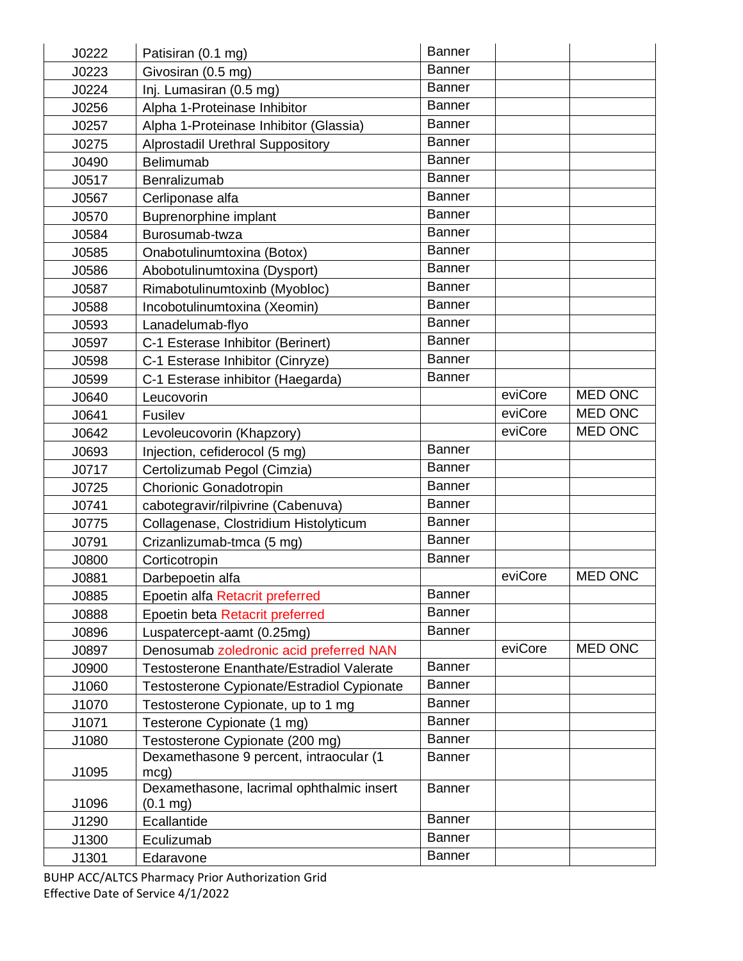| J0222 | Patisiran (0.1 mg)                                              | <b>Banner</b> |         |                |
|-------|-----------------------------------------------------------------|---------------|---------|----------------|
| J0223 | Givosiran (0.5 mg)                                              | <b>Banner</b> |         |                |
| J0224 | Inj. Lumasiran (0.5 mg)                                         | Banner        |         |                |
| J0256 | Alpha 1-Proteinase Inhibitor                                    | <b>Banner</b> |         |                |
| J0257 | Alpha 1-Proteinase Inhibitor (Glassia)                          | <b>Banner</b> |         |                |
| J0275 | <b>Alprostadil Urethral Suppository</b>                         | <b>Banner</b> |         |                |
| J0490 | <b>Belimumab</b>                                                | Banner        |         |                |
| J0517 | Benralizumab                                                    | <b>Banner</b> |         |                |
| J0567 | Cerliponase alfa                                                | <b>Banner</b> |         |                |
| J0570 | <b>Buprenorphine implant</b>                                    | <b>Banner</b> |         |                |
| J0584 | Burosumab-twza                                                  | <b>Banner</b> |         |                |
| J0585 | Onabotulinumtoxina (Botox)                                      | <b>Banner</b> |         |                |
| J0586 | Abobotulinumtoxina (Dysport)                                    | <b>Banner</b> |         |                |
| J0587 | Rimabotulinumtoxinb (Myobloc)                                   | <b>Banner</b> |         |                |
| J0588 | Incobotulinumtoxina (Xeomin)                                    | <b>Banner</b> |         |                |
| J0593 | Lanadelumab-flyo                                                | <b>Banner</b> |         |                |
| J0597 | C-1 Esterase Inhibitor (Berinert)                               | <b>Banner</b> |         |                |
| J0598 | C-1 Esterase Inhibitor (Cinryze)                                | <b>Banner</b> |         |                |
| J0599 | C-1 Esterase inhibitor (Haegarda)                               | <b>Banner</b> |         |                |
| J0640 | Leucovorin                                                      |               | eviCore | <b>MED ONC</b> |
| J0641 | Fusilev                                                         |               | eviCore | <b>MED ONC</b> |
| J0642 | Levoleucovorin (Khapzory)                                       |               | eviCore | <b>MED ONC</b> |
| J0693 | Injection, cefiderocol (5 mg)                                   | <b>Banner</b> |         |                |
| J0717 | Certolizumab Pegol (Cimzia)                                     | <b>Banner</b> |         |                |
| J0725 | Chorionic Gonadotropin                                          | <b>Banner</b> |         |                |
| J0741 | cabotegravir/rilpivrine (Cabenuva)                              | <b>Banner</b> |         |                |
| J0775 | Collagenase, Clostridium Histolyticum                           | <b>Banner</b> |         |                |
| J0791 | Crizanlizumab-tmca (5 mg)                                       | <b>Banner</b> |         |                |
| J0800 | Corticotropin                                                   | <b>Banner</b> |         |                |
| J0881 | Darbepoetin alfa                                                |               | eviCore | <b>MED ONC</b> |
| J0885 | Epoetin alfa Retacrit preferred                                 | <b>Banner</b> |         |                |
| J0888 | Epoetin beta Retacrit preferred                                 | <b>Banner</b> |         |                |
| J0896 | Luspatercept-aamt (0.25mg)                                      | <b>Banner</b> |         |                |
| J0897 | Denosumab zoledronic acid preferred NAN                         |               | eviCore | <b>MED ONC</b> |
| J0900 | Testosterone Enanthate/Estradiol Valerate                       | <b>Banner</b> |         |                |
| J1060 | Testosterone Cypionate/Estradiol Cypionate                      | <b>Banner</b> |         |                |
| J1070 | Testosterone Cypionate, up to 1 mg                              | <b>Banner</b> |         |                |
| J1071 | Testerone Cypionate (1 mg)                                      | <b>Banner</b> |         |                |
| J1080 | Testosterone Cypionate (200 mg)                                 | <b>Banner</b> |         |                |
|       | Dexamethasone 9 percent, intraocular (1                         | <b>Banner</b> |         |                |
| J1095 | mcg)                                                            |               |         |                |
| J1096 | Dexamethasone, lacrimal ophthalmic insert<br>$(0.1 \text{ mg})$ | <b>Banner</b> |         |                |
| J1290 | Ecallantide                                                     | <b>Banner</b> |         |                |
| J1300 | Eculizumab                                                      | <b>Banner</b> |         |                |
| J1301 | Edaravone                                                       | <b>Banner</b> |         |                |
|       |                                                                 |               |         |                |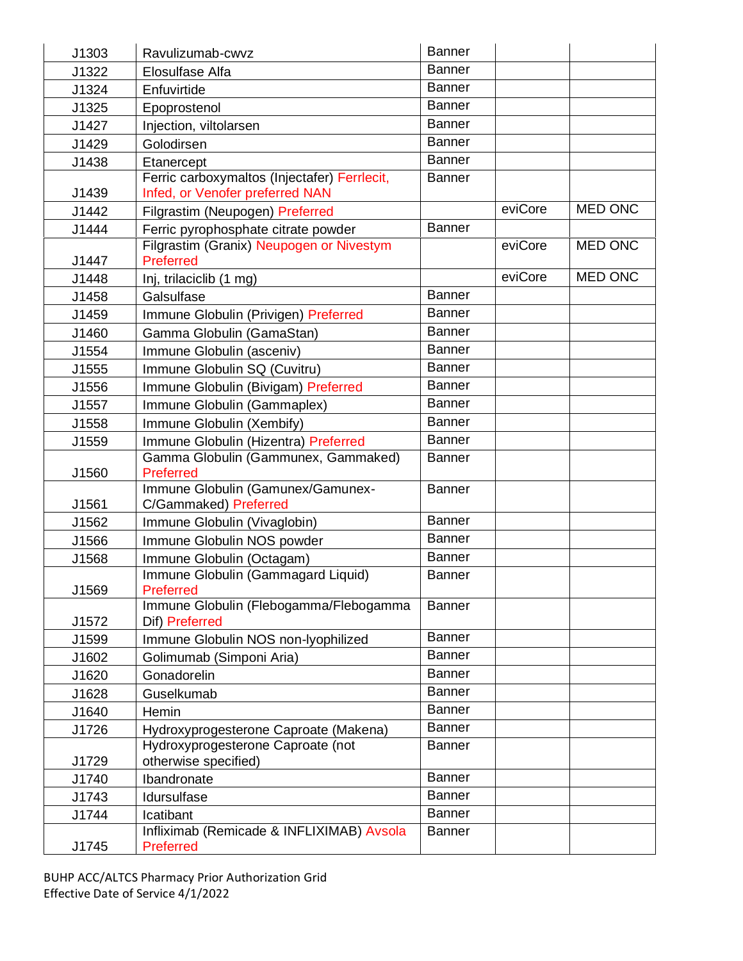| J1303 | Ravulizumab-cwvz                                         | <b>Banner</b> |         |                |
|-------|----------------------------------------------------------|---------------|---------|----------------|
| J1322 | Elosulfase Alfa                                          | <b>Banner</b> |         |                |
| J1324 | Enfuvirtide                                              | Banner        |         |                |
| J1325 | Epoprostenol                                             | <b>Banner</b> |         |                |
| J1427 | Injection, viltolarsen                                   | <b>Banner</b> |         |                |
| J1429 | Golodirsen                                               | <b>Banner</b> |         |                |
| J1438 | Etanercept                                               | <b>Banner</b> |         |                |
|       | Ferric carboxymaltos (Injectafer) Ferrlecit,             | <b>Banner</b> |         |                |
| J1439 | Infed, or Venofer preferred NAN                          |               |         |                |
| J1442 | Filgrastim (Neupogen) Preferred                          |               | eviCore | <b>MED ONC</b> |
| J1444 | Ferric pyrophosphate citrate powder                      | <b>Banner</b> |         |                |
|       | Filgrastim (Granix) Neupogen or Nivestym                 |               | eviCore | <b>MED ONC</b> |
| J1447 | <b>Preferred</b>                                         |               | eviCore | <b>MED ONC</b> |
| J1448 | Inj, trilaciclib (1 mg)                                  |               |         |                |
| J1458 | Galsulfase                                               | <b>Banner</b> |         |                |
| J1459 | Immune Globulin (Privigen) Preferred                     | <b>Banner</b> |         |                |
| J1460 | Gamma Globulin (GamaStan)                                | <b>Banner</b> |         |                |
| J1554 | Immune Globulin (asceniv)                                | <b>Banner</b> |         |                |
| J1555 | Immune Globulin SQ (Cuvitru)                             | <b>Banner</b> |         |                |
| J1556 | Immune Globulin (Bivigam) Preferred                      | <b>Banner</b> |         |                |
| J1557 | Immune Globulin (Gammaplex)                              | <b>Banner</b> |         |                |
| J1558 | Immune Globulin (Xembify)                                | <b>Banner</b> |         |                |
| J1559 | Immune Globulin (Hizentra) Preferred                     | <b>Banner</b> |         |                |
|       | Gamma Globulin (Gammunex, Gammaked)                      | <b>Banner</b> |         |                |
| J1560 | Preferred<br>Immune Globulin (Gamunex/Gamunex-           | <b>Banner</b> |         |                |
| J1561 | C/Gammaked) Preferred                                    |               |         |                |
| J1562 | Immune Globulin (Vivaglobin)                             | <b>Banner</b> |         |                |
| J1566 | Immune Globulin NOS powder                               | <b>Banner</b> |         |                |
| J1568 | Immune Globulin (Octagam)                                | <b>Banner</b> |         |                |
|       | Immune Globulin (Gammagard Liquid)                       | <b>Banner</b> |         |                |
| J1569 | Preferred                                                |               |         |                |
| J1572 | Immune Globulin (Flebogamma/Flebogamma<br>Dif) Preferred | <b>Banner</b> |         |                |
| J1599 | Immune Globulin NOS non-lyophilized                      | <b>Banner</b> |         |                |
| J1602 | Golimumab (Simponi Aria)                                 | <b>Banner</b> |         |                |
| J1620 | Gonadorelin                                              | <b>Banner</b> |         |                |
| J1628 | Guselkumab                                               | Banner        |         |                |
| J1640 | Hemin                                                    | Banner        |         |                |
| J1726 | Hydroxyprogesterone Caproate (Makena)                    | <b>Banner</b> |         |                |
|       | Hydroxyprogesterone Caproate (not                        | <b>Banner</b> |         |                |
| J1729 | otherwise specified)                                     |               |         |                |
| J1740 | Ibandronate                                              | Banner        |         |                |
| J1743 | Idursulfase                                              | <b>Banner</b> |         |                |
| J1744 | Icatibant                                                | <b>Banner</b> |         |                |
|       | Infliximab (Remicade & INFLIXIMAB) Avsola                | <b>Banner</b> |         |                |
| J1745 | Preferred                                                |               |         |                |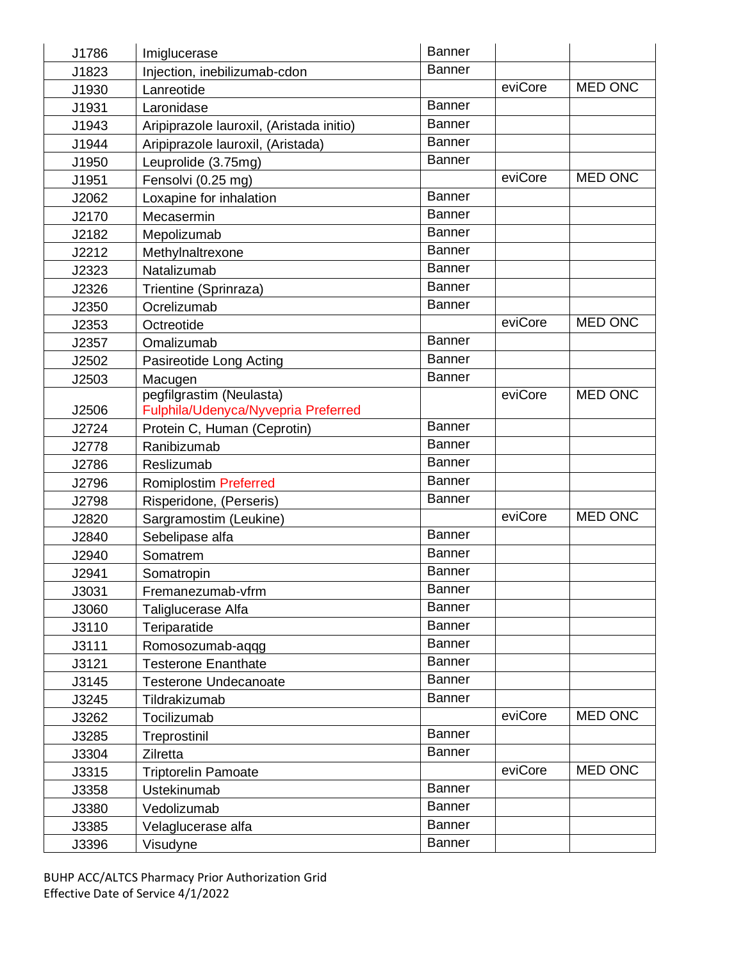| J1786 | Imiglucerase                             | <b>Banner</b> |         |                |
|-------|------------------------------------------|---------------|---------|----------------|
| J1823 | Injection, inebilizumab-cdon             | <b>Banner</b> |         |                |
| J1930 | Lanreotide                               |               | eviCore | <b>MED ONC</b> |
| J1931 | Laronidase                               | Banner        |         |                |
| J1943 | Aripiprazole lauroxil, (Aristada initio) | Banner        |         |                |
| J1944 | Aripiprazole lauroxil, (Aristada)        | <b>Banner</b> |         |                |
| J1950 | Leuprolide (3.75mg)                      | <b>Banner</b> |         |                |
| J1951 | Fensolvi (0.25 mg)                       |               | eviCore | <b>MED ONC</b> |
| J2062 | Loxapine for inhalation                  | Banner        |         |                |
| J2170 | Mecasermin                               | <b>Banner</b> |         |                |
| J2182 | Mepolizumab                              | <b>Banner</b> |         |                |
| J2212 | Methylnaltrexone                         | <b>Banner</b> |         |                |
| J2323 | Natalizumab                              | <b>Banner</b> |         |                |
| J2326 | Trientine (Sprinraza)                    | <b>Banner</b> |         |                |
| J2350 | Ocrelizumab                              | <b>Banner</b> |         |                |
| J2353 | Octreotide                               |               | eviCore | <b>MED ONC</b> |
| J2357 | Omalizumab                               | <b>Banner</b> |         |                |
| J2502 | Pasireotide Long Acting                  | <b>Banner</b> |         |                |
| J2503 | Macugen                                  | <b>Banner</b> |         |                |
|       | pegfilgrastim (Neulasta)                 |               | eviCore | <b>MED ONC</b> |
| J2506 | Fulphila/Udenyca/Nyvepria Preferred      |               |         |                |
| J2724 | Protein C, Human (Ceprotin)              | <b>Banner</b> |         |                |
| J2778 | Ranibizumab                              | <b>Banner</b> |         |                |
| J2786 | Reslizumab                               | <b>Banner</b> |         |                |
| J2796 | <b>Romiplostim Preferred</b>             | Banner        |         |                |
| J2798 | Risperidone, (Perseris)                  | <b>Banner</b> |         |                |
| J2820 | Sargramostim (Leukine)                   |               | eviCore | <b>MED ONC</b> |
| J2840 | Sebelipase alfa                          | Banner        |         |                |
| J2940 | Somatrem                                 | <b>Banner</b> |         |                |
| J2941 | Somatropin                               | <b>Banner</b> |         |                |
| J3031 | Fremanezumab-vfrm                        | Banner        |         |                |
| J3060 | Taliglucerase Alfa                       | <b>Banner</b> |         |                |
| J3110 | Teriparatide                             | <b>Banner</b> |         |                |
| J3111 | Romosozumab-aqqg                         | <b>Banner</b> |         |                |
| J3121 | <b>Testerone Enanthate</b>               | Banner        |         |                |
| J3145 | <b>Testerone Undecanoate</b>             | <b>Banner</b> |         |                |
| J3245 | Tildrakizumab                            | <b>Banner</b> |         |                |
| J3262 | Tocilizumab                              |               | eviCore | MED ONC        |
| J3285 | Treprostinil                             | Banner        |         |                |
| J3304 | Zilretta                                 | <b>Banner</b> |         |                |
| J3315 | <b>Triptorelin Pamoate</b>               |               | eviCore | MED ONC        |
| J3358 | Ustekinumab                              | Banner        |         |                |
| J3380 | Vedolizumab                              | Banner        |         |                |
| J3385 | Velaglucerase alfa                       | Banner        |         |                |
| J3396 | Visudyne                                 | <b>Banner</b> |         |                |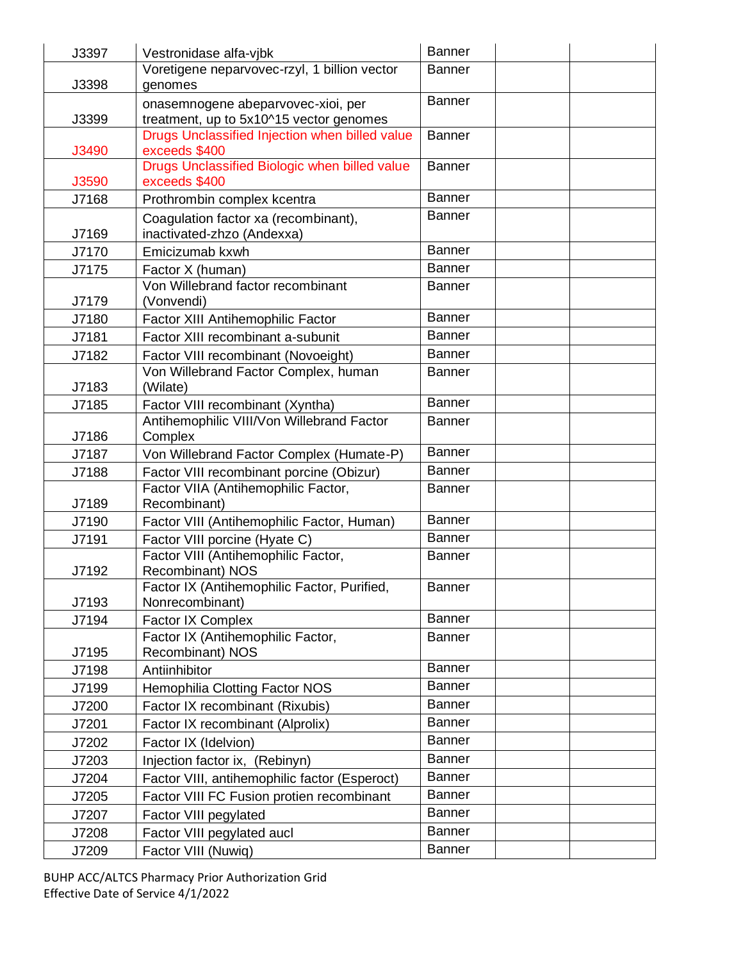| J3397 | Vestronidase alfa-vjbk                                                 | <b>Banner</b> |  |
|-------|------------------------------------------------------------------------|---------------|--|
|       | Voretigene neparvovec-rzyl, 1 billion vector                           | <b>Banner</b> |  |
| J3398 | genomes                                                                |               |  |
|       | onasemnogene abeparvovec-xioi, per                                     | <b>Banner</b> |  |
| J3399 | treatment, up to 5x10^15 vector genomes                                |               |  |
| J3490 | Drugs Unclassified Injection when billed value<br>exceeds \$400        | <b>Banner</b> |  |
|       | Drugs Unclassified Biologic when billed value                          | <b>Banner</b> |  |
| J3590 | exceeds \$400                                                          |               |  |
| J7168 | Prothrombin complex kcentra                                            | <b>Banner</b> |  |
|       | Coagulation factor xa (recombinant),                                   | Banner        |  |
| J7169 | inactivated-zhzo (Andexxa)                                             |               |  |
| J7170 | Emicizumab kxwh                                                        | <b>Banner</b> |  |
| J7175 | Factor X (human)                                                       | <b>Banner</b> |  |
|       | Von Willebrand factor recombinant                                      | <b>Banner</b> |  |
| J7179 | (Vonvendi)                                                             |               |  |
| J7180 | Factor XIII Antihemophilic Factor                                      | <b>Banner</b> |  |
| J7181 | Factor XIII recombinant a-subunit                                      | <b>Banner</b> |  |
| J7182 | Factor VIII recombinant (Novoeight)                                    | Banner        |  |
| J7183 | Von Willebrand Factor Complex, human<br>(Wilate)                       | <b>Banner</b> |  |
| J7185 | Factor VIII recombinant (Xyntha)                                       | <b>Banner</b> |  |
|       | Antihemophilic VIII/Von Willebrand Factor                              | <b>Banner</b> |  |
| J7186 | Complex                                                                |               |  |
| J7187 | Von Willebrand Factor Complex (Humate-P)                               | <b>Banner</b> |  |
| J7188 | Factor VIII recombinant porcine (Obizur)                               | <b>Banner</b> |  |
|       | Factor VIIA (Antihemophilic Factor,                                    | <b>Banner</b> |  |
| J7189 | Recombinant)                                                           |               |  |
| J7190 | Factor VIII (Antihemophilic Factor, Human)                             | Banner        |  |
| J7191 | Factor VIII porcine (Hyate C)                                          | <b>Banner</b> |  |
|       | Factor VIII (Antihemophilic Factor,                                    | <b>Banner</b> |  |
| J7192 | <b>Recombinant) NOS</b><br>Factor IX (Antihemophilic Factor, Purified, | Banner        |  |
| J7193 | Nonrecombinant)                                                        |               |  |
| J7194 | Factor IX Complex                                                      | <b>Banner</b> |  |
|       | Factor IX (Antihemophilic Factor,                                      | <b>Banner</b> |  |
| J7195 | Recombinant) NOS                                                       |               |  |
| J7198 | Antiinhibitor                                                          | <b>Banner</b> |  |
| J7199 | <b>Hemophilia Clotting Factor NOS</b>                                  | <b>Banner</b> |  |
| J7200 | Factor IX recombinant (Rixubis)                                        | <b>Banner</b> |  |
| J7201 | Factor IX recombinant (Alprolix)                                       | <b>Banner</b> |  |
| J7202 | Factor IX (Idelvion)                                                   | <b>Banner</b> |  |
| J7203 | Injection factor ix, (Rebinyn)                                         | <b>Banner</b> |  |
| J7204 | Factor VIII, antihemophilic factor (Esperoct)                          | <b>Banner</b> |  |
| J7205 | Factor VIII FC Fusion protien recombinant                              | <b>Banner</b> |  |
| J7207 | Factor VIII pegylated                                                  | <b>Banner</b> |  |
| J7208 | Factor VIII pegylated aucl                                             | Banner        |  |
| J7209 | Factor VIII (Nuwiq)                                                    | <b>Banner</b> |  |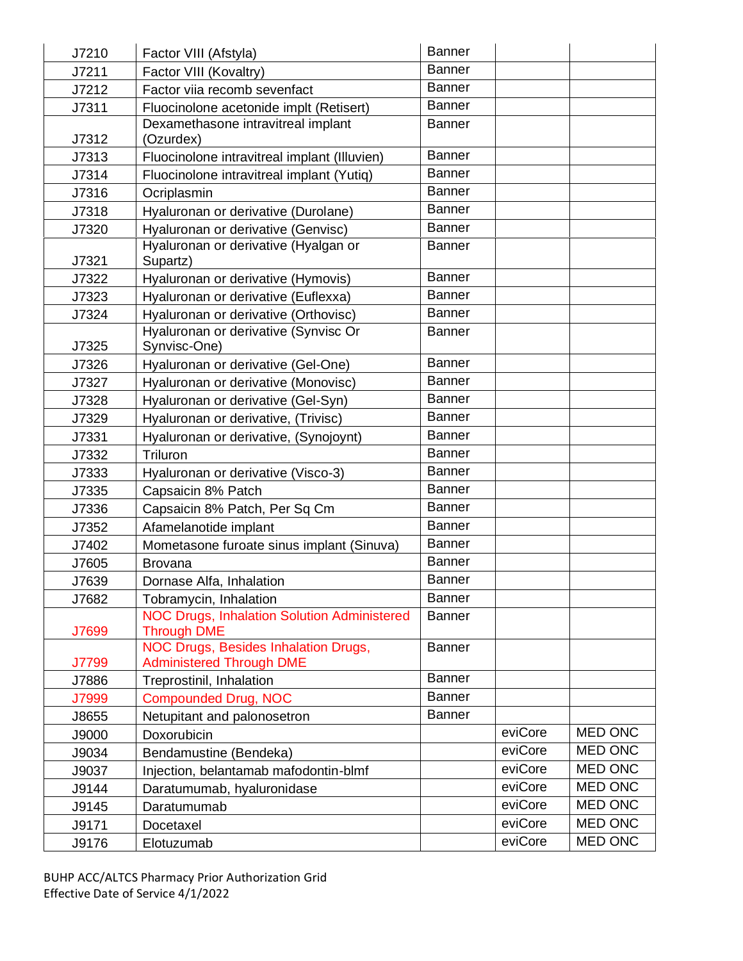| J7210 | Factor VIII (Afstyla)                                                    | <b>Banner</b> |         |                |
|-------|--------------------------------------------------------------------------|---------------|---------|----------------|
| J7211 | Factor VIII (Kovaltry)                                                   | <b>Banner</b> |         |                |
| J7212 | Factor viia recomb sevenfact                                             | <b>Banner</b> |         |                |
| J7311 | Fluocinolone acetonide implt (Retisert)                                  | <b>Banner</b> |         |                |
| J7312 | Dexamethasone intravitreal implant<br>(Ozurdex)                          | <b>Banner</b> |         |                |
| J7313 | Fluocinolone intravitreal implant (Illuvien)                             | <b>Banner</b> |         |                |
| J7314 | Fluocinolone intravitreal implant (Yutiq)                                | <b>Banner</b> |         |                |
| J7316 | Ocriplasmin                                                              | <b>Banner</b> |         |                |
| J7318 | Hyaluronan or derivative (Durolane)                                      | <b>Banner</b> |         |                |
| J7320 | Hyaluronan or derivative (Genvisc)                                       | <b>Banner</b> |         |                |
| J7321 | Hyaluronan or derivative (Hyalgan or<br>Supartz)                         | <b>Banner</b> |         |                |
| J7322 | Hyaluronan or derivative (Hymovis)                                       | <b>Banner</b> |         |                |
| J7323 | Hyaluronan or derivative (Euflexxa)                                      | <b>Banner</b> |         |                |
| J7324 | Hyaluronan or derivative (Orthovisc)                                     | <b>Banner</b> |         |                |
| J7325 | Hyaluronan or derivative (Synvisc Or<br>Synvisc-One)                     | <b>Banner</b> |         |                |
| J7326 | Hyaluronan or derivative (Gel-One)                                       | <b>Banner</b> |         |                |
| J7327 | Hyaluronan or derivative (Monovisc)                                      | <b>Banner</b> |         |                |
| J7328 | Hyaluronan or derivative (Gel-Syn)                                       | <b>Banner</b> |         |                |
| J7329 | Hyaluronan or derivative, (Trivisc)                                      | <b>Banner</b> |         |                |
| J7331 | Hyaluronan or derivative, (Synojoynt)                                    | <b>Banner</b> |         |                |
| J7332 | Triluron                                                                 | <b>Banner</b> |         |                |
| J7333 | Hyaluronan or derivative (Visco-3)                                       | <b>Banner</b> |         |                |
| J7335 | Capsaicin 8% Patch                                                       | <b>Banner</b> |         |                |
| J7336 | Capsaicin 8% Patch, Per Sq Cm                                            | <b>Banner</b> |         |                |
| J7352 | Afamelanotide implant                                                    | <b>Banner</b> |         |                |
| J7402 | Mometasone furoate sinus implant (Sinuva)                                | <b>Banner</b> |         |                |
| J7605 | <b>Brovana</b>                                                           | <b>Banner</b> |         |                |
| J7639 | Dornase Alfa, Inhalation                                                 | <b>Banner</b> |         |                |
| J7682 | Tobramycin, Inhalation                                                   | <b>Banner</b> |         |                |
| J7699 | <b>NOC Drugs, Inhalation Solution Administered</b><br><b>Through DME</b> | <b>Banner</b> |         |                |
|       | NOC Drugs, Besides Inhalation Drugs,                                     | <b>Banner</b> |         |                |
| J7799 | <b>Administered Through DME</b>                                          |               |         |                |
| J7886 | Treprostinil, Inhalation                                                 | Banner        |         |                |
| J7999 | <b>Compounded Drug, NOC</b>                                              | <b>Banner</b> |         |                |
| J8655 | Netupitant and palonosetron                                              | <b>Banner</b> |         |                |
| J9000 | Doxorubicin                                                              |               | eviCore | <b>MED ONC</b> |
| J9034 | Bendamustine (Bendeka)                                                   |               | eviCore | <b>MED ONC</b> |
| J9037 | Injection, belantamab mafodontin-blmf                                    |               | eviCore | <b>MED ONC</b> |
| J9144 | Daratumumab, hyaluronidase                                               |               | eviCore | <b>MED ONC</b> |
| J9145 | Daratumumab                                                              |               | eviCore | MED ONC        |
| J9171 | Docetaxel                                                                |               | eviCore | MED ONC        |
| J9176 | Elotuzumab                                                               |               | eviCore | MED ONC        |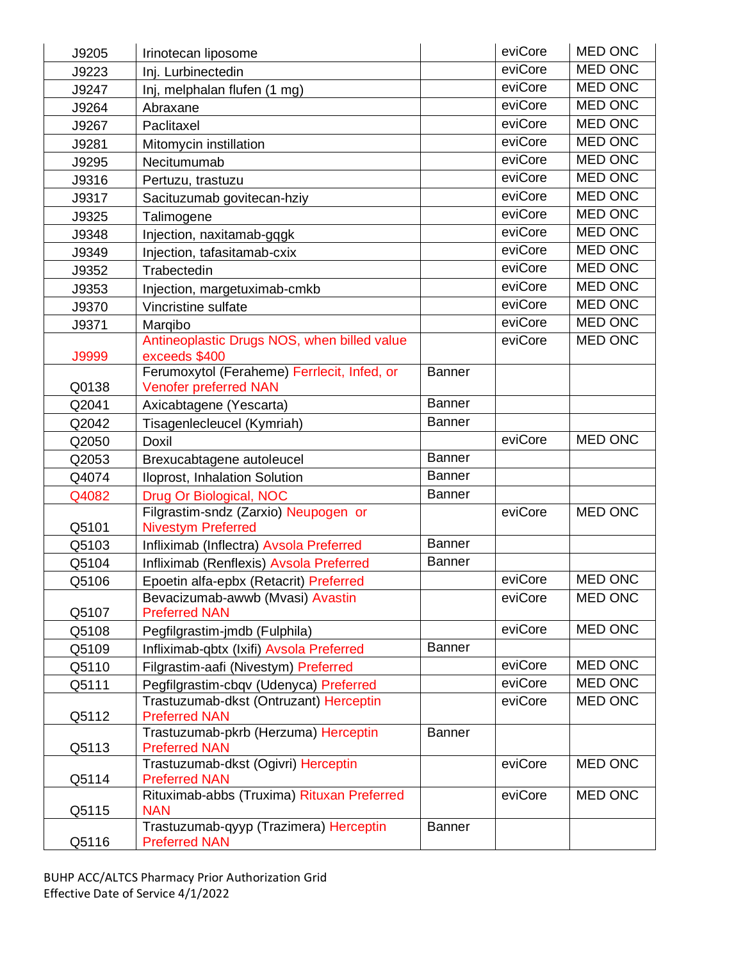| J9205        | Irinotecan liposome                                               |               | eviCore | <b>MED ONC</b> |
|--------------|-------------------------------------------------------------------|---------------|---------|----------------|
| J9223        | Inj. Lurbinectedin                                                |               | eviCore | <b>MED ONC</b> |
| J9247        | Inj, melphalan flufen (1 mg)                                      |               | eviCore | <b>MED ONC</b> |
| J9264        | Abraxane                                                          |               | eviCore | <b>MED ONC</b> |
| J9267        | Paclitaxel                                                        |               | eviCore | <b>MED ONC</b> |
| J9281        | Mitomycin instillation                                            |               | eviCore | <b>MED ONC</b> |
| J9295        | Necitumumab                                                       |               | eviCore | <b>MED ONC</b> |
| J9316        | Pertuzu, trastuzu                                                 |               | eviCore | <b>MED ONC</b> |
| J9317        | Sacituzumab govitecan-hziy                                        |               | eviCore | <b>MED ONC</b> |
| J9325        | Talimogene                                                        |               | eviCore | <b>MED ONC</b> |
| J9348        | Injection, naxitamab-gqgk                                         |               | eviCore | <b>MED ONC</b> |
| J9349        | Injection, tafasitamab-cxix                                       |               | eviCore | <b>MED ONC</b> |
| J9352        | Trabectedin                                                       |               | eviCore | <b>MED ONC</b> |
| J9353        | Injection, margetuximab-cmkb                                      |               | eviCore | <b>MED ONC</b> |
| J9370        | Vincristine sulfate                                               |               | eviCore | <b>MED ONC</b> |
| J9371        | Marqibo                                                           |               | eviCore | <b>MED ONC</b> |
|              | Antineoplastic Drugs NOS, when billed value                       |               | eviCore | <b>MED ONC</b> |
| <b>J9999</b> | exceeds \$400                                                     |               |         |                |
|              | Ferumoxytol (Feraheme) Ferrlecit, Infed, or                       | <b>Banner</b> |         |                |
| Q0138        | <b>Venofer preferred NAN</b>                                      | <b>Banner</b> |         |                |
| Q2041        | Axicabtagene (Yescarta)                                           |               |         |                |
| Q2042        | Tisagenlecleucel (Kymriah)                                        | <b>Banner</b> | eviCore | <b>MED ONC</b> |
| Q2050        | <b>Doxil</b>                                                      |               |         |                |
| Q2053        | Brexucabtagene autoleucel                                         | <b>Banner</b> |         |                |
| Q4074        | Iloprost, Inhalation Solution                                     | <b>Banner</b> |         |                |
| Q4082        | Drug Or Biological, NOC                                           | <b>Banner</b> |         |                |
| Q5101        | Filgrastim-sndz (Zarxio) Neupogen or<br><b>Nivestym Preferred</b> |               | eviCore | <b>MED ONC</b> |
| Q5103        | Infliximab (Inflectra) Avsola Preferred                           | <b>Banner</b> |         |                |
| Q5104        | Infliximab (Renflexis) Avsola Preferred                           | <b>Banner</b> |         |                |
| Q5106        | Epoetin alfa-epbx (Retacrit) Preferred                            |               | eviCore | <b>MED ONC</b> |
|              | Bevacizumab-awwb (Mvasi) Avastin                                  |               | eviCore | <b>MED ONC</b> |
| Q5107        | <b>Preferred NAN</b>                                              |               |         |                |
| Q5108        | Pegfilgrastim-jmdb (Fulphila)                                     |               | eviCore | <b>MED ONC</b> |
| Q5109        | Infliximab-qbtx (Ixifi) Avsola Preferred                          | <b>Banner</b> |         |                |
| Q5110        | Filgrastim-aafi (Nivestym) Preferred                              |               | eviCore | <b>MED ONC</b> |
| Q5111        | Pegfilgrastim-cbqv (Udenyca) Preferred                            |               | eviCore | MED ONC        |
|              | Trastuzumab-dkst (Ontruzant) Herceptin                            |               | eviCore | <b>MED ONC</b> |
| Q5112        | <b>Preferred NAN</b>                                              |               |         |                |
| Q5113        | Trastuzumab-pkrb (Herzuma) Herceptin<br><b>Preferred NAN</b>      | <b>Banner</b> |         |                |
| Q5114        | Trastuzumab-dkst (Ogivri) Herceptin<br><b>Preferred NAN</b>       |               | eviCore | <b>MED ONC</b> |
| Q5115        | Rituximab-abbs (Truxima) Rituxan Preferred<br><b>NAN</b>          |               | eviCore | <b>MED ONC</b> |
| Q5116        | Trastuzumab-qyyp (Trazimera) Herceptin<br><b>Preferred NAN</b>    | <b>Banner</b> |         |                |